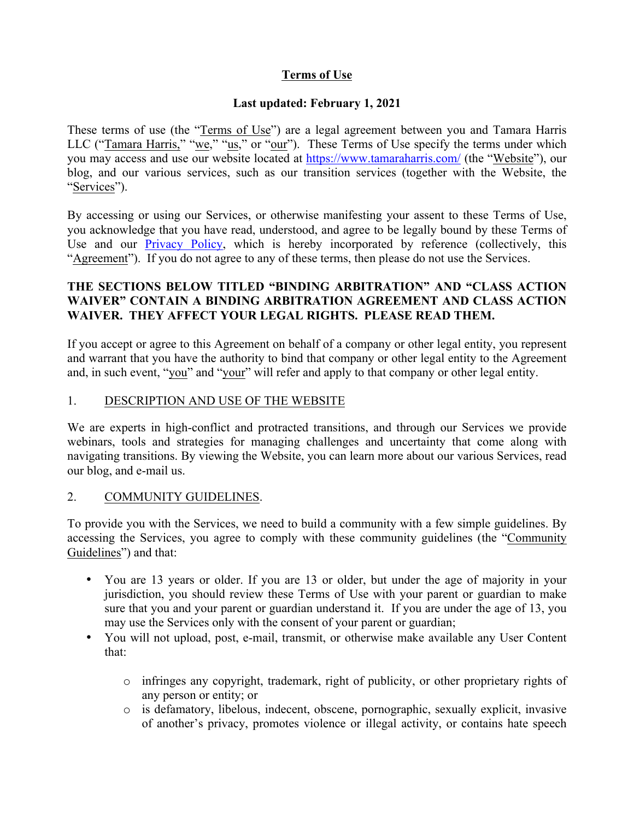# **Terms of Use**

#### **Last updated: February 1, 2021**

These terms of use (the "Terms of Use") are a legal agreement between you and Tamara Harris LLC ("Tamara Harris," "we," "us," or "our"). These Terms of Use specify the terms under which you may access and use our website located at https://www.tamaraharris.com/ (the "Website"), our blog, and our various services, such as our transition services (together with the Website, the "Services").

By accessing or using our Services, or otherwise manifesting your assent to these Terms of Use, you acknowledge that you have read, understood, and agree to be legally bound by these Terms of Use and our Privacy Policy, which is hereby incorporated by reference (collectively, this "Agreement"). If you do not agree to any of these terms, then please do not use the Services.

#### **THE SECTIONS BELOW TITLED "BINDING ARBITRATION" AND "CLASS ACTION WAIVER" CONTAIN A BINDING ARBITRATION AGREEMENT AND CLASS ACTION WAIVER. THEY AFFECT YOUR LEGAL RIGHTS. PLEASE READ THEM.**

If you accept or agree to this Agreement on behalf of a company or other legal entity, you represent and warrant that you have the authority to bind that company or other legal entity to the Agreement and, in such event, "you" and "your" will refer and apply to that company or other legal entity.

#### 1. DESCRIPTION AND USE OF THE WEBSITE

We are experts in high-conflict and protracted transitions, and through our Services we provide webinars, tools and strategies for managing challenges and uncertainty that come along with navigating transitions. By viewing the Website, you can learn more about our various Services, read our blog, and e-mail us.

#### 2. COMMUNITY GUIDELINES.

To provide you with the Services, we need to build a community with a few simple guidelines. By accessing the Services, you agree to comply with these community guidelines (the "Community Guidelines") and that:

- You are 13 years or older. If you are 13 or older, but under the age of majority in your jurisdiction, you should review these Terms of Use with your parent or guardian to make sure that you and your parent or guardian understand it. If you are under the age of 13, you may use the Services only with the consent of your parent or guardian;
- You will not upload, post, e-mail, transmit, or otherwise make available any User Content that:
	- o infringes any copyright, trademark, right of publicity, or other proprietary rights of any person or entity; or
	- o is defamatory, libelous, indecent, obscene, pornographic, sexually explicit, invasive of another's privacy, promotes violence or illegal activity, or contains hate speech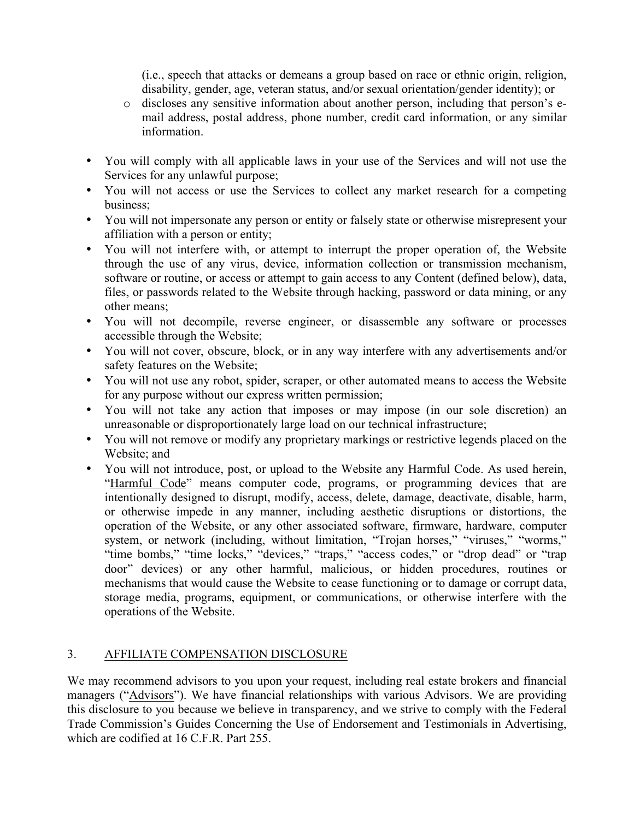(i.e., speech that attacks or demeans a group based on race or ethnic origin, religion, disability, gender, age, veteran status, and/or sexual orientation/gender identity); or

- o discloses any sensitive information about another person, including that person's email address, postal address, phone number, credit card information, or any similar information.
- You will comply with all applicable laws in your use of the Services and will not use the Services for any unlawful purpose;
- You will not access or use the Services to collect any market research for a competing business;
- You will not impersonate any person or entity or falsely state or otherwise misrepresent your affiliation with a person or entity;
- You will not interfere with, or attempt to interrupt the proper operation of, the Website through the use of any virus, device, information collection or transmission mechanism, software or routine, or access or attempt to gain access to any Content (defined below), data, files, or passwords related to the Website through hacking, password or data mining, or any other means;
- You will not decompile, reverse engineer, or disassemble any software or processes accessible through the Website;
- You will not cover, obscure, block, or in any way interfere with any advertisements and/or safety features on the Website;
- You will not use any robot, spider, scraper, or other automated means to access the Website for any purpose without our express written permission;
- You will not take any action that imposes or may impose (in our sole discretion) an unreasonable or disproportionately large load on our technical infrastructure;
- You will not remove or modify any proprietary markings or restrictive legends placed on the Website; and
- You will not introduce, post, or upload to the Website any Harmful Code. As used herein, "Harmful Code" means computer code, programs, or programming devices that are intentionally designed to disrupt, modify, access, delete, damage, deactivate, disable, harm, or otherwise impede in any manner, including aesthetic disruptions or distortions, the operation of the Website, or any other associated software, firmware, hardware, computer system, or network (including, without limitation, "Trojan horses," "viruses," "worms," "time bombs," "time locks," "devices," "traps," "access codes," or "drop dead" or "trap door" devices) or any other harmful, malicious, or hidden procedures, routines or mechanisms that would cause the Website to cease functioning or to damage or corrupt data, storage media, programs, equipment, or communications, or otherwise interfere with the operations of the Website.

# 3. AFFILIATE COMPENSATION DISCLOSURE

We may recommend advisors to you upon your request, including real estate brokers and financial managers ("Advisors"). We have financial relationships with various Advisors. We are providing this disclosure to you because we believe in transparency, and we strive to comply with the Federal Trade Commission's Guides Concerning the Use of Endorsement and Testimonials in Advertising, which are codified at 16 C.F.R. Part 255.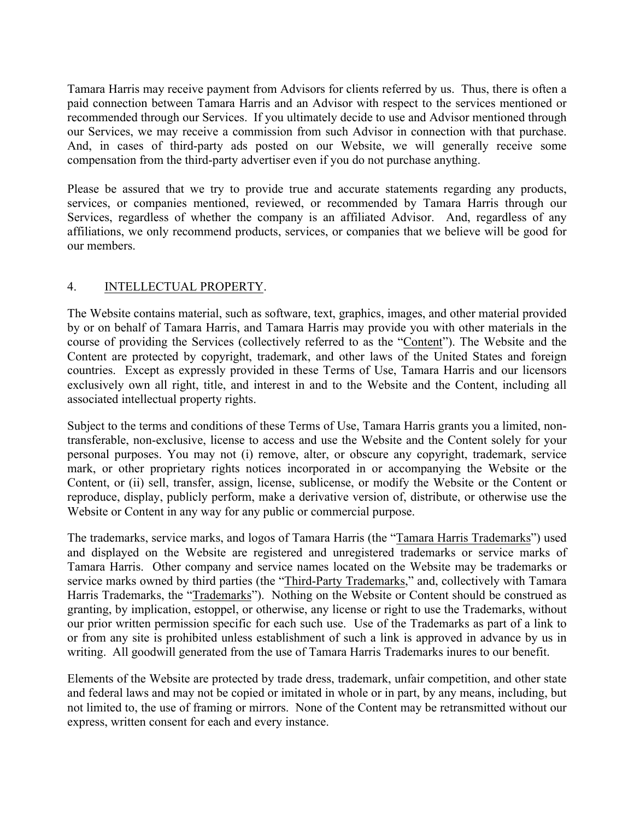Tamara Harris may receive payment from Advisors for clients referred by us. Thus, there is often a paid connection between Tamara Harris and an Advisor with respect to the services mentioned or recommended through our Services. If you ultimately decide to use and Advisor mentioned through our Services, we may receive a commission from such Advisor in connection with that purchase. And, in cases of third-party ads posted on our Website, we will generally receive some compensation from the third-party advertiser even if you do not purchase anything.

Please be assured that we try to provide true and accurate statements regarding any products, services, or companies mentioned, reviewed, or recommended by Tamara Harris through our Services, regardless of whether the company is an affiliated Advisor. And, regardless of any affiliations, we only recommend products, services, or companies that we believe will be good for our members.

#### 4. INTELLECTUAL PROPERTY.

The Website contains material, such as software, text, graphics, images, and other material provided by or on behalf of Tamara Harris, and Tamara Harris may provide you with other materials in the course of providing the Services (collectively referred to as the "Content"). The Website and the Content are protected by copyright, trademark, and other laws of the United States and foreign countries. Except as expressly provided in these Terms of Use, Tamara Harris and our licensors exclusively own all right, title, and interest in and to the Website and the Content, including all associated intellectual property rights.

Subject to the terms and conditions of these Terms of Use, Tamara Harris grants you a limited, nontransferable, non-exclusive, license to access and use the Website and the Content solely for your personal purposes. You may not (i) remove, alter, or obscure any copyright, trademark, service mark, or other proprietary rights notices incorporated in or accompanying the Website or the Content, or (ii) sell, transfer, assign, license, sublicense, or modify the Website or the Content or reproduce, display, publicly perform, make a derivative version of, distribute, or otherwise use the Website or Content in any way for any public or commercial purpose.

The trademarks, service marks, and logos of Tamara Harris (the "Tamara Harris Trademarks") used and displayed on the Website are registered and unregistered trademarks or service marks of Tamara Harris. Other company and service names located on the Website may be trademarks or service marks owned by third parties (the "Third-Party Trademarks," and, collectively with Tamara Harris Trademarks, the "Trademarks"). Nothing on the Website or Content should be construed as granting, by implication, estoppel, or otherwise, any license or right to use the Trademarks, without our prior written permission specific for each such use. Use of the Trademarks as part of a link to or from any site is prohibited unless establishment of such a link is approved in advance by us in writing. All goodwill generated from the use of Tamara Harris Trademarks inures to our benefit.

Elements of the Website are protected by trade dress, trademark, unfair competition, and other state and federal laws and may not be copied or imitated in whole or in part, by any means, including, but not limited to, the use of framing or mirrors. None of the Content may be retransmitted without our express, written consent for each and every instance.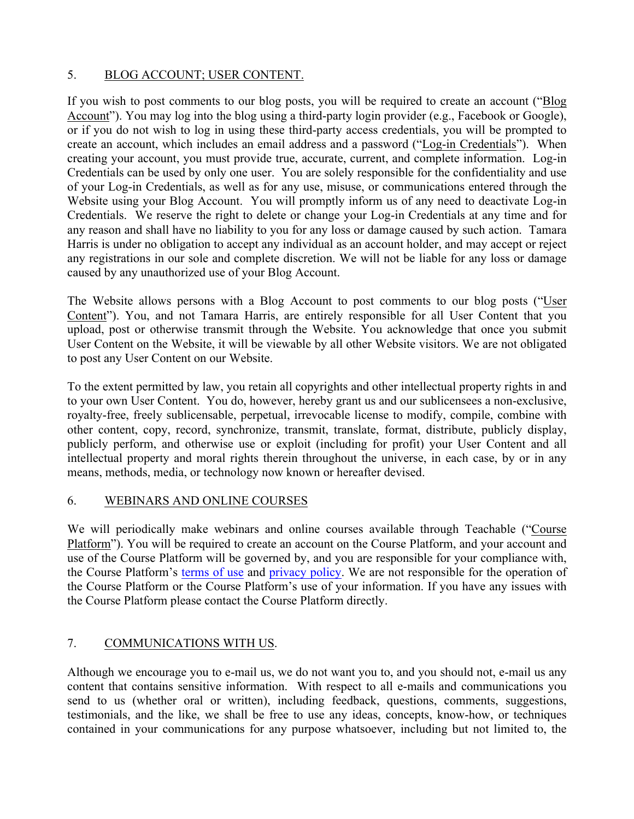# 5. BLOG ACCOUNT; USER CONTENT.

If you wish to post comments to our blog posts, you will be required to create an account ("Blog Account"). You may log into the blog using a third-party login provider (e.g., Facebook or Google), or if you do not wish to log in using these third-party access credentials, you will be prompted to create an account, which includes an email address and a password ("Log-in Credentials"). When creating your account, you must provide true, accurate, current, and complete information. Log-in Credentials can be used by only one user. You are solely responsible for the confidentiality and use of your Log-in Credentials, as well as for any use, misuse, or communications entered through the Website using your Blog Account. You will promptly inform us of any need to deactivate Log-in Credentials. We reserve the right to delete or change your Log-in Credentials at any time and for any reason and shall have no liability to you for any loss or damage caused by such action. Tamara Harris is under no obligation to accept any individual as an account holder, and may accept or reject any registrations in our sole and complete discretion. We will not be liable for any loss or damage caused by any unauthorized use of your Blog Account.

The Website allows persons with a Blog Account to post comments to our blog posts ("User Content"). You, and not Tamara Harris, are entirely responsible for all User Content that you upload, post or otherwise transmit through the Website. You acknowledge that once you submit User Content on the Website, it will be viewable by all other Website visitors. We are not obligated to post any User Content on our Website.

To the extent permitted by law, you retain all copyrights and other intellectual property rights in and to your own User Content. You do, however, hereby grant us and our sublicensees a non-exclusive, royalty-free, freely sublicensable, perpetual, irrevocable license to modify, compile, combine with other content, copy, record, synchronize, transmit, translate, format, distribute, publicly display, publicly perform, and otherwise use or exploit (including for profit) your User Content and all intellectual property and moral rights therein throughout the universe, in each case, by or in any means, methods, media, or technology now known or hereafter devised.

#### 6. WEBINARS AND ONLINE COURSES

We will periodically make webinars and online courses available through Teachable ("Course Platform"). You will be required to create an account on the Course Platform, and your account and use of the Course Platform will be governed by, and you are responsible for your compliance with, the Course Platform's terms of use and privacy policy. We are not responsible for the operation of the Course Platform or the Course Platform's use of your information. If you have any issues with the Course Platform please contact the Course Platform directly.

# 7. COMMUNICATIONS WITH US.

Although we encourage you to e-mail us, we do not want you to, and you should not, e-mail us any content that contains sensitive information. With respect to all e-mails and communications you send to us (whether oral or written), including feedback, questions, comments, suggestions, testimonials, and the like, we shall be free to use any ideas, concepts, know-how, or techniques contained in your communications for any purpose whatsoever, including but not limited to, the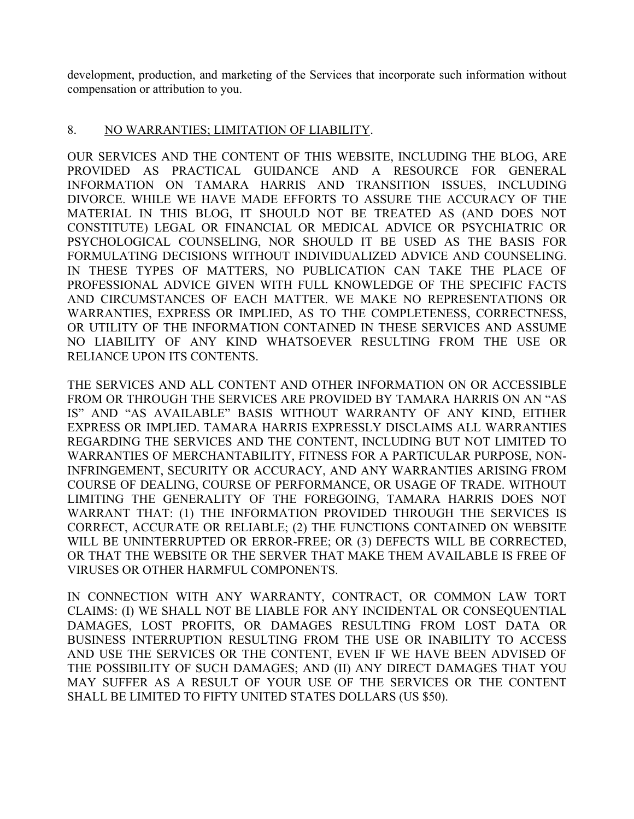development, production, and marketing of the Services that incorporate such information without compensation or attribution to you.

### 8. NO WARRANTIES; LIMITATION OF LIABILITY.

OUR SERVICES AND THE CONTENT OF THIS WEBSITE, INCLUDING THE BLOG, ARE PROVIDED AS PRACTICAL GUIDANCE AND A RESOURCE FOR GENERAL INFORMATION ON TAMARA HARRIS AND TRANSITION ISSUES, INCLUDING DIVORCE. WHILE WE HAVE MADE EFFORTS TO ASSURE THE ACCURACY OF THE MATERIAL IN THIS BLOG, IT SHOULD NOT BE TREATED AS (AND DOES NOT CONSTITUTE) LEGAL OR FINANCIAL OR MEDICAL ADVICE OR PSYCHIATRIC OR PSYCHOLOGICAL COUNSELING, NOR SHOULD IT BE USED AS THE BASIS FOR FORMULATING DECISIONS WITHOUT INDIVIDUALIZED ADVICE AND COUNSELING. IN THESE TYPES OF MATTERS, NO PUBLICATION CAN TAKE THE PLACE OF PROFESSIONAL ADVICE GIVEN WITH FULL KNOWLEDGE OF THE SPECIFIC FACTS AND CIRCUMSTANCES OF EACH MATTER. WE MAKE NO REPRESENTATIONS OR WARRANTIES, EXPRESS OR IMPLIED, AS TO THE COMPLETENESS, CORRECTNESS, OR UTILITY OF THE INFORMATION CONTAINED IN THESE SERVICES AND ASSUME NO LIABILITY OF ANY KIND WHATSOEVER RESULTING FROM THE USE OR RELIANCE UPON ITS CONTENTS.

THE SERVICES AND ALL CONTENT AND OTHER INFORMATION ON OR ACCESSIBLE FROM OR THROUGH THE SERVICES ARE PROVIDED BY TAMARA HARRIS ON AN "AS IS" AND "AS AVAILABLE" BASIS WITHOUT WARRANTY OF ANY KIND, EITHER EXPRESS OR IMPLIED. TAMARA HARRIS EXPRESSLY DISCLAIMS ALL WARRANTIES REGARDING THE SERVICES AND THE CONTENT, INCLUDING BUT NOT LIMITED TO WARRANTIES OF MERCHANTABILITY, FITNESS FOR A PARTICULAR PURPOSE, NON-INFRINGEMENT, SECURITY OR ACCURACY, AND ANY WARRANTIES ARISING FROM COURSE OF DEALING, COURSE OF PERFORMANCE, OR USAGE OF TRADE. WITHOUT LIMITING THE GENERALITY OF THE FOREGOING, TAMARA HARRIS DOES NOT WARRANT THAT: (1) THE INFORMATION PROVIDED THROUGH THE SERVICES IS CORRECT, ACCURATE OR RELIABLE; (2) THE FUNCTIONS CONTAINED ON WEBSITE WILL BE UNINTERRUPTED OR ERROR-FREE; OR (3) DEFECTS WILL BE CORRECTED, OR THAT THE WEBSITE OR THE SERVER THAT MAKE THEM AVAILABLE IS FREE OF VIRUSES OR OTHER HARMFUL COMPONENTS.

IN CONNECTION WITH ANY WARRANTY, CONTRACT, OR COMMON LAW TORT CLAIMS: (I) WE SHALL NOT BE LIABLE FOR ANY INCIDENTAL OR CONSEQUENTIAL DAMAGES, LOST PROFITS, OR DAMAGES RESULTING FROM LOST DATA OR BUSINESS INTERRUPTION RESULTING FROM THE USE OR INABILITY TO ACCESS AND USE THE SERVICES OR THE CONTENT, EVEN IF WE HAVE BEEN ADVISED OF THE POSSIBILITY OF SUCH DAMAGES; AND (II) ANY DIRECT DAMAGES THAT YOU MAY SUFFER AS A RESULT OF YOUR USE OF THE SERVICES OR THE CONTENT SHALL BE LIMITED TO FIFTY UNITED STATES DOLLARS (US \$50).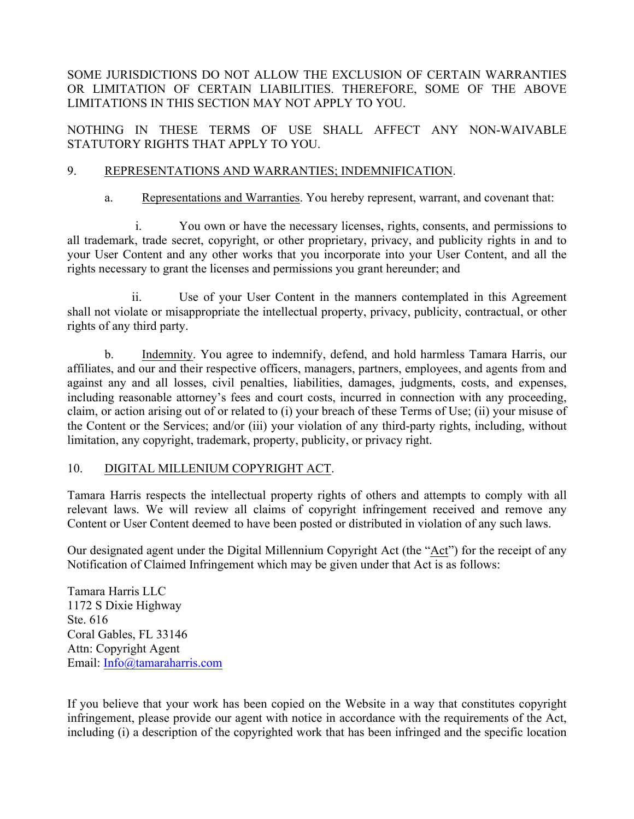SOME JURISDICTIONS DO NOT ALLOW THE EXCLUSION OF CERTAIN WARRANTIES OR LIMITATION OF CERTAIN LIABILITIES. THEREFORE, SOME OF THE ABOVE LIMITATIONS IN THIS SECTION MAY NOT APPLY TO YOU.

NOTHING IN THESE TERMS OF USE SHALL AFFECT ANY NON-WAIVABLE STATUTORY RIGHTS THAT APPLY TO YOU.

#### 9. REPRESENTATIONS AND WARRANTIES; INDEMNIFICATION.

### a. Representations and Warranties. You hereby represent, warrant, and covenant that:

i. You own or have the necessary licenses, rights, consents, and permissions to all trademark, trade secret, copyright, or other proprietary, privacy, and publicity rights in and to your User Content and any other works that you incorporate into your User Content, and all the rights necessary to grant the licenses and permissions you grant hereunder; and

ii. Use of your User Content in the manners contemplated in this Agreement shall not violate or misappropriate the intellectual property, privacy, publicity, contractual, or other rights of any third party.

b. Indemnity. You agree to indemnify, defend, and hold harmless Tamara Harris, our affiliates, and our and their respective officers, managers, partners, employees, and agents from and against any and all losses, civil penalties, liabilities, damages, judgments, costs, and expenses, including reasonable attorney's fees and court costs, incurred in connection with any proceeding, claim, or action arising out of or related to (i) your breach of these Terms of Use; (ii) your misuse of the Content or the Services; and/or (iii) your violation of any third-party rights, including, without limitation, any copyright, trademark, property, publicity, or privacy right.

#### 10. DIGITAL MILLENIUM COPYRIGHT ACT.

Tamara Harris respects the intellectual property rights of others and attempts to comply with all relevant laws. We will review all claims of copyright infringement received and remove any Content or User Content deemed to have been posted or distributed in violation of any such laws.

Our designated agent under the Digital Millennium Copyright Act (the "Act") for the receipt of any Notification of Claimed Infringement which may be given under that Act is as follows:

Tamara Harris LLC 1172 S Dixie Highway Ste. 616 Coral Gables, FL 33146 Attn: Copyright Agent Email: Info@tamaraharris.com

If you believe that your work has been copied on the Website in a way that constitutes copyright infringement, please provide our agent with notice in accordance with the requirements of the Act, including (i) a description of the copyrighted work that has been infringed and the specific location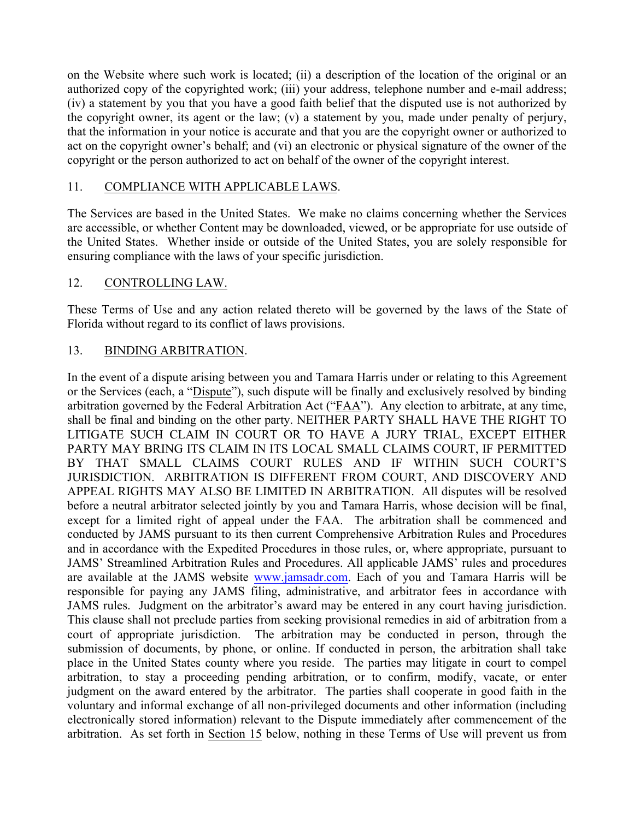on the Website where such work is located; (ii) a description of the location of the original or an authorized copy of the copyrighted work; (iii) your address, telephone number and e-mail address; (iv) a statement by you that you have a good faith belief that the disputed use is not authorized by the copyright owner, its agent or the law; (v) a statement by you, made under penalty of perjury, that the information in your notice is accurate and that you are the copyright owner or authorized to act on the copyright owner's behalf; and (vi) an electronic or physical signature of the owner of the copyright or the person authorized to act on behalf of the owner of the copyright interest.

## 11. COMPLIANCE WITH APPLICABLE LAWS.

The Services are based in the United States. We make no claims concerning whether the Services are accessible, or whether Content may be downloaded, viewed, or be appropriate for use outside of the United States. Whether inside or outside of the United States, you are solely responsible for ensuring compliance with the laws of your specific jurisdiction.

## 12. CONTROLLING LAW.

These Terms of Use and any action related thereto will be governed by the laws of the State of Florida without regard to its conflict of laws provisions.

## 13. BINDING ARBITRATION.

In the event of a dispute arising between you and Tamara Harris under or relating to this Agreement or the Services (each, a "Dispute"), such dispute will be finally and exclusively resolved by binding arbitration governed by the Federal Arbitration Act ("FAA"). Any election to arbitrate, at any time, shall be final and binding on the other party. NEITHER PARTY SHALL HAVE THE RIGHT TO LITIGATE SUCH CLAIM IN COURT OR TO HAVE A JURY TRIAL, EXCEPT EITHER PARTY MAY BRING ITS CLAIM IN ITS LOCAL SMALL CLAIMS COURT, IF PERMITTED BY THAT SMALL CLAIMS COURT RULES AND IF WITHIN SUCH COURT'S JURISDICTION. ARBITRATION IS DIFFERENT FROM COURT, AND DISCOVERY AND APPEAL RIGHTS MAY ALSO BE LIMITED IN ARBITRATION. All disputes will be resolved before a neutral arbitrator selected jointly by you and Tamara Harris, whose decision will be final, except for a limited right of appeal under the FAA. The arbitration shall be commenced and conducted by JAMS pursuant to its then current Comprehensive Arbitration Rules and Procedures and in accordance with the Expedited Procedures in those rules, or, where appropriate, pursuant to JAMS' Streamlined Arbitration Rules and Procedures. All applicable JAMS' rules and procedures are available at the JAMS website www.jamsadr.com. Each of you and Tamara Harris will be responsible for paying any JAMS filing, administrative, and arbitrator fees in accordance with JAMS rules. Judgment on the arbitrator's award may be entered in any court having jurisdiction. This clause shall not preclude parties from seeking provisional remedies in aid of arbitration from a court of appropriate jurisdiction. The arbitration may be conducted in person, through the submission of documents, by phone, or online. If conducted in person, the arbitration shall take place in the United States county where you reside. The parties may litigate in court to compel arbitration, to stay a proceeding pending arbitration, or to confirm, modify, vacate, or enter judgment on the award entered by the arbitrator. The parties shall cooperate in good faith in the voluntary and informal exchange of all non-privileged documents and other information (including electronically stored information) relevant to the Dispute immediately after commencement of the arbitration. As set forth in Section 15 below, nothing in these Terms of Use will prevent us from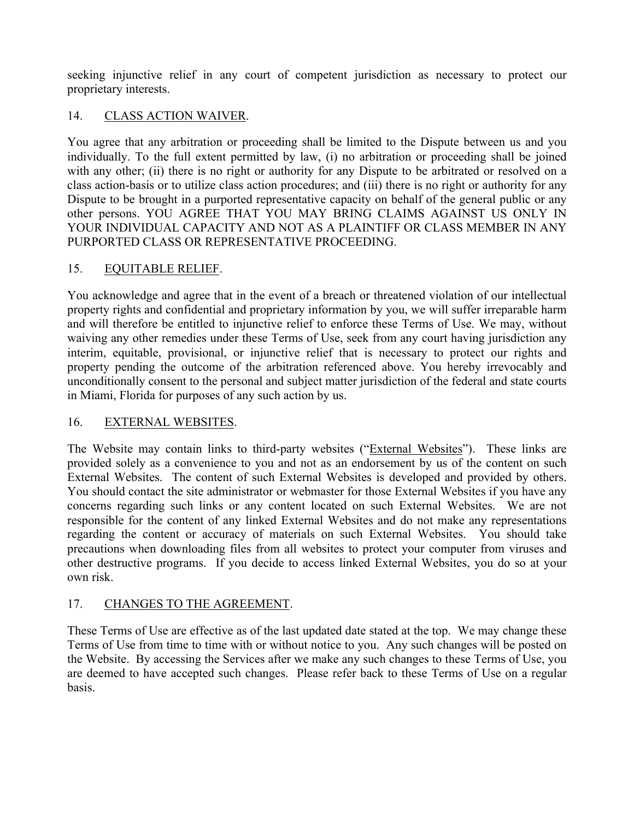seeking injunctive relief in any court of competent jurisdiction as necessary to protect our proprietary interests.

## 14. CLASS ACTION WAIVER.

You agree that any arbitration or proceeding shall be limited to the Dispute between us and you individually. To the full extent permitted by law, (i) no arbitration or proceeding shall be joined with any other; (ii) there is no right or authority for any Dispute to be arbitrated or resolved on a class action-basis or to utilize class action procedures; and (iii) there is no right or authority for any Dispute to be brought in a purported representative capacity on behalf of the general public or any other persons. YOU AGREE THAT YOU MAY BRING CLAIMS AGAINST US ONLY IN YOUR INDIVIDUAL CAPACITY AND NOT AS A PLAINTIFF OR CLASS MEMBER IN ANY PURPORTED CLASS OR REPRESENTATIVE PROCEEDING.

#### 15. EQUITABLE RELIEF.

You acknowledge and agree that in the event of a breach or threatened violation of our intellectual property rights and confidential and proprietary information by you, we will suffer irreparable harm and will therefore be entitled to injunctive relief to enforce these Terms of Use. We may, without waiving any other remedies under these Terms of Use, seek from any court having jurisdiction any interim, equitable, provisional, or injunctive relief that is necessary to protect our rights and property pending the outcome of the arbitration referenced above. You hereby irrevocably and unconditionally consent to the personal and subject matter jurisdiction of the federal and state courts in Miami, Florida for purposes of any such action by us.

# 16. EXTERNAL WEBSITES.

The Website may contain links to third-party websites ("External Websites"). These links are provided solely as a convenience to you and not as an endorsement by us of the content on such External Websites. The content of such External Websites is developed and provided by others. You should contact the site administrator or webmaster for those External Websites if you have any concerns regarding such links or any content located on such External Websites. We are not responsible for the content of any linked External Websites and do not make any representations regarding the content or accuracy of materials on such External Websites. You should take precautions when downloading files from all websites to protect your computer from viruses and other destructive programs. If you decide to access linked External Websites, you do so at your own risk.

#### 17. CHANGES TO THE AGREEMENT.

These Terms of Use are effective as of the last updated date stated at the top. We may change these Terms of Use from time to time with or without notice to you. Any such changes will be posted on the Website. By accessing the Services after we make any such changes to these Terms of Use, you are deemed to have accepted such changes. Please refer back to these Terms of Use on a regular basis.